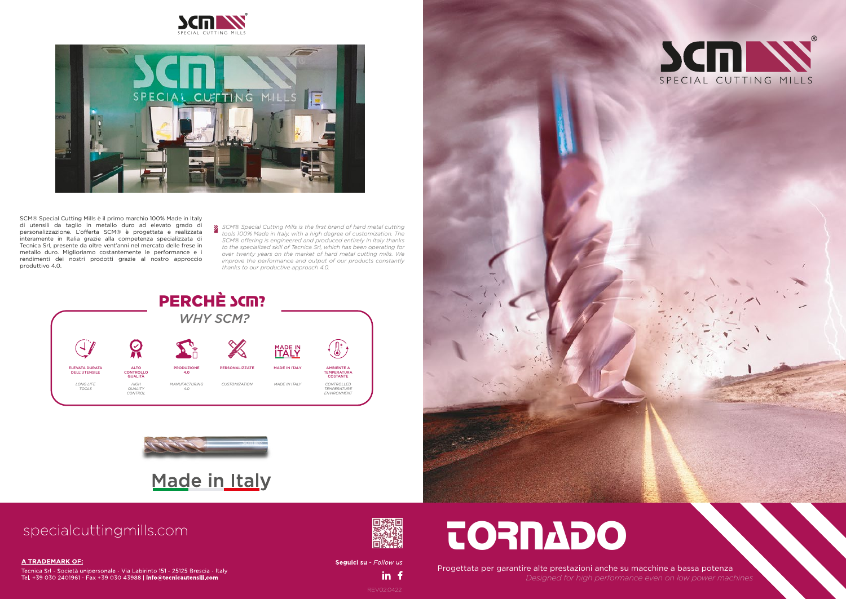## tornado

Progettata per garantire alte prestazioni anche su macchine a bassa potenza *Designed for high performance even on low power machines*





REV02.0422

in f

Seguici su - Follow us







SCM® Special Cutting Mills è il primo marchio 100% Made in Italy di utensili da taglio in metallo duro ad elevato grado di personalizzazione. L'offerta SCM® è progettata e realizzata interamente in Italia grazie alla competenza specializzata di Tecnica Srl, presente da oltre vent'anni nel mercato delle frese in metallo duro. Miglioriamo costantemente le performance e i rendimenti dei nostri prodotti grazie al nostro approccio produttivo 4.0.





## Made in Italy

### specialcuttingmills.com

### **A TRADEMARK OF:**

Tecnica Srl - Società unipersonale - Via Labirinto 151 - 25125 Brescia - Italy Tel. +39 030 2401961 - Fax +39 030 43988 | info@tecnicautensili.com



*SCM® Special Cutting Mills is the first brand of hard metal cutting tools 100% Made in Italy, with a high degree of customization. The SCM® offering is engineered and produced entirely in Italy thanks to the specialized skill of Tecnica Srl, which has been operating for over twenty years on the market of hard metal cutting mills. We improve the performance and output of our products constantly thanks to our productive approach 4.0.*